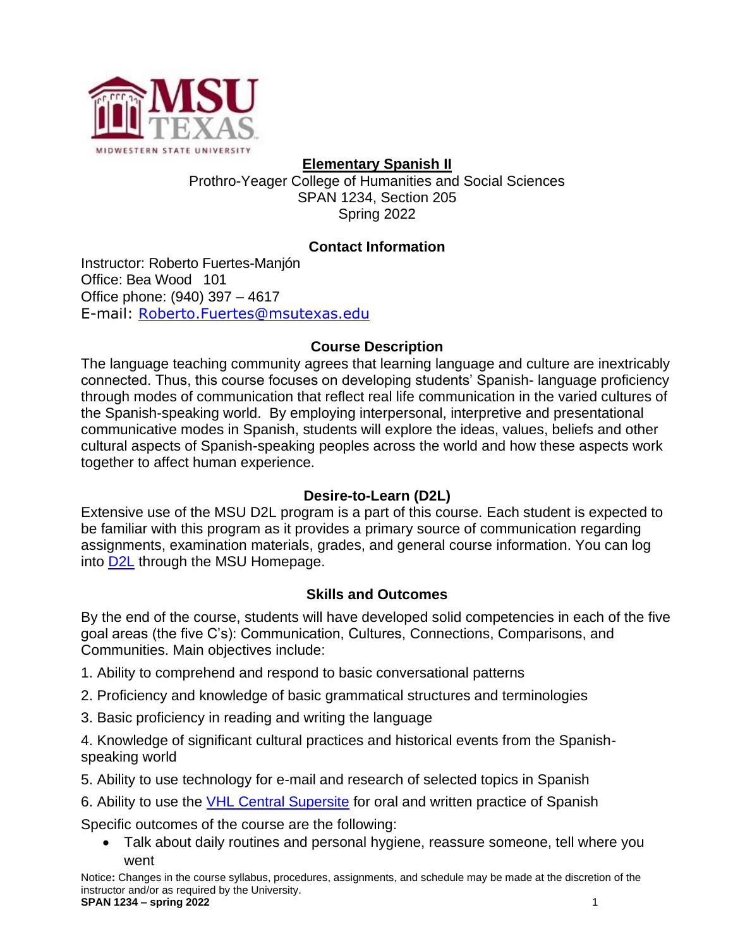

**Elementary Spanish II** Prothro-Yeager College of Humanities and Social Sciences SPAN 1234, Section 205 Spring 2022

# **Contact Information**

Instructor: Roberto Fuertes-Manjón Office: Bea Wood 101 Office phone: (940) 397 – 4617 E-mail: [Roberto.Fuertes@msutexas.edu](mailto:Roberto.Fuertes@msutexas.edu)

### **Course Description**

The language teaching community agrees that learning language and culture are inextricably connected. Thus, this course focuses on developing students' Spanish- language proficiency through modes of communication that reflect real life communication in the varied cultures of the Spanish-speaking world. By employing interpersonal, interpretive and presentational communicative modes in Spanish, students will explore the ideas, values, beliefs and other cultural aspects of Spanish-speaking peoples across the world and how these aspects work together to affect human experience.

### **Desire-to-Learn (D2L)**

Extensive use of the MSU D2L program is a part of this course. Each student is expected to be familiar with this program as it provides a primary source of communication regarding assignments, examination materials, grades, and general course information. You can log into [D2L](https://d2l.mwsu.edu/) through the MSU Homepage.

### **Skills and Outcomes**

By the end of the course, students will have developed solid competencies in each of the five goal areas (the five C's): Communication, Cultures, Connections, Comparisons, and Communities. Main objectives include:

- 1. Ability to comprehend and respond to basic conversational patterns
- 2. Proficiency and knowledge of basic grammatical structures and terminologies
- 3. Basic proficiency in reading and writing the language

4. Knowledge of significant cultural practices and historical events from the Spanishspeaking world

- 5. Ability to use technology for e-mail and research of selected topics in Spanish
- 6. Ability to use the **VHL Central Supersite** for oral and written practice of Spanish

Specific outcomes of the course are the following:

• Talk about daily routines and personal hygiene, reassure someone, tell where you went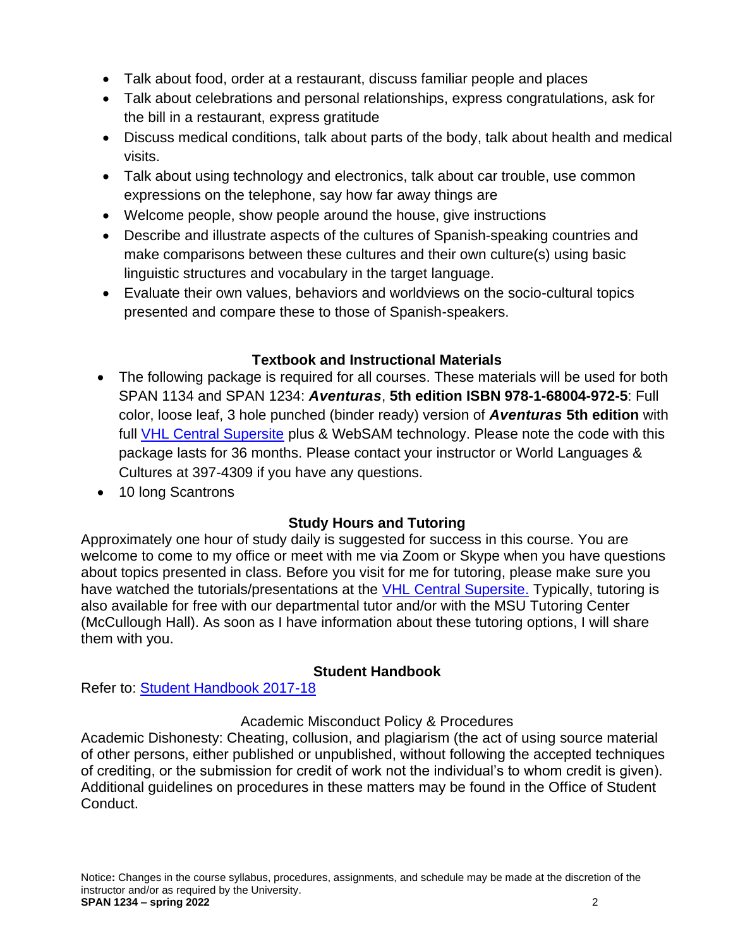- Talk about food, order at a restaurant, discuss familiar people and places
- Talk about celebrations and personal relationships, express congratulations, ask for the bill in a restaurant, express gratitude
- Discuss medical conditions, talk about parts of the body, talk about health and medical visits.
- Talk about using technology and electronics, talk about car trouble, use common expressions on the telephone, say how far away things are
- Welcome people, show people around the house, give instructions
- Describe and illustrate aspects of the cultures of Spanish-speaking countries and make comparisons between these cultures and their own culture(s) using basic linguistic structures and vocabulary in the target language.
- Evaluate their own values, behaviors and worldviews on the socio-cultural topics presented and compare these to those of Spanish-speakers.

# **Textbook and Instructional Materials**

- The following package is required for all courses. These materials will be used for both SPAN 1134 and SPAN 1234: *Aventuras*, **5th edition ISBN 978-1-68004-972-5**: Full color, loose leaf, 3 hole punched (binder ready) version of *Aventuras* **5th edition** with full [VHL Central Supersite](http://www.vhlcentral.com/) plus & WebSAM technology. Please note the code with this package lasts for 36 months. Please contact your instructor or World Languages & Cultures at 397-4309 if you have any questions.
- 10 long Scantrons

# **Study Hours and Tutoring**

Approximately one hour of study daily is suggested for success in this course. You are welcome to come to my office or meet with me via Zoom or Skype when you have questions about topics presented in class. Before you visit for me for tutoring, please make sure you have watched the tutorials/presentations at the [VHL Central Supersite.](http://www.vhlcentral.com/) Typically, tutoring is also available for free with our departmental tutor and/or with the MSU Tutoring Center (McCullough Hall). As soon as I have information about these tutoring options, I will share them with you.

# **Student Handbook**

Refer to: [Student Handbook 2017-18](https://mwsu.edu/Assets/documents/student-life/student-handbook-2017-18.pdf)

## Academic Misconduct Policy & Procedures

Academic Dishonesty: Cheating, collusion, and plagiarism (the act of using source material of other persons, either published or unpublished, without following the accepted techniques of crediting, or the submission for credit of work not the individual's to whom credit is given). Additional guidelines on procedures in these matters may be found in the Office of Student Conduct.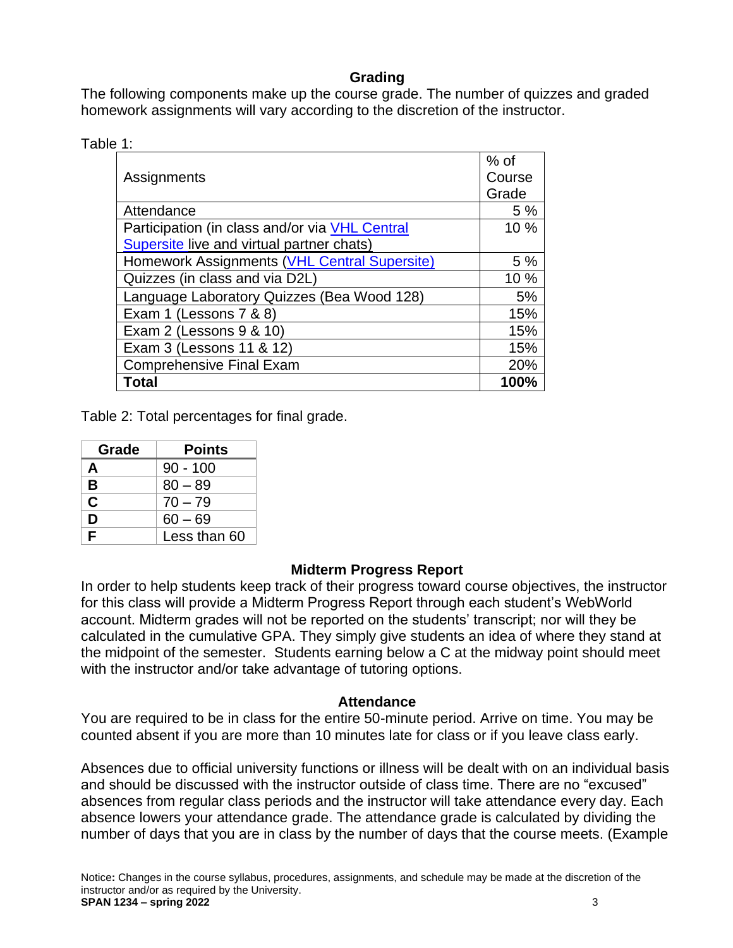## **Grading**

The following components make up the course grade. The number of quizzes and graded homework assignments will vary according to the discretion of the instructor.

| Table 1 |  |  |
|---------|--|--|
|         |  |  |

|                                                | $%$ of |
|------------------------------------------------|--------|
| Assignments                                    | Course |
|                                                | Grade  |
| Attendance                                     | 5%     |
| Participation (in class and/or via VHL Central | 10%    |
| Supersite live and virtual partner chats)      |        |
| Homework Assignments (VHL Central Supersite)   | 5%     |
| Quizzes (in class and via D2L)                 | 10 %   |
| Language Laboratory Quizzes (Bea Wood 128)     | 5%     |
| Exam 1 (Lessons 7 & 8)                         | 15%    |
| Exam 2 (Lessons 9 & 10)                        | 15%    |
| Exam 3 (Lessons 11 & 12)                       | 15%    |
| <b>Comprehensive Final Exam</b>                | 20%    |
| Total                                          | 100%   |

Table 2: Total percentages for final grade.

| Grade | <b>Points</b> |
|-------|---------------|
| A     | $90 - 100$    |
| В     | $80 - 89$     |
| C     | $70 - 79$     |
| Ŋ     | $60 - 69$     |
| F     | Less than 60  |

### **Midterm Progress Report**

In order to help students keep track of their progress toward course objectives, the instructor for this class will provide a Midterm Progress Report through each student's WebWorld account. Midterm grades will not be reported on the students' transcript; nor will they be calculated in the cumulative GPA. They simply give students an idea of where they stand at the midpoint of the semester. Students earning below a C at the midway point should meet with the instructor and/or take advantage of tutoring options.

### **Attendance**

You are required to be in class for the entire 50-minute period. Arrive on time. You may be counted absent if you are more than 10 minutes late for class or if you leave class early.

Absences due to official university functions or illness will be dealt with on an individual basis and should be discussed with the instructor outside of class time. There are no "excused" absences from regular class periods and the instructor will take attendance every day. Each absence lowers your attendance grade. The attendance grade is calculated by dividing the number of days that you are in class by the number of days that the course meets. (Example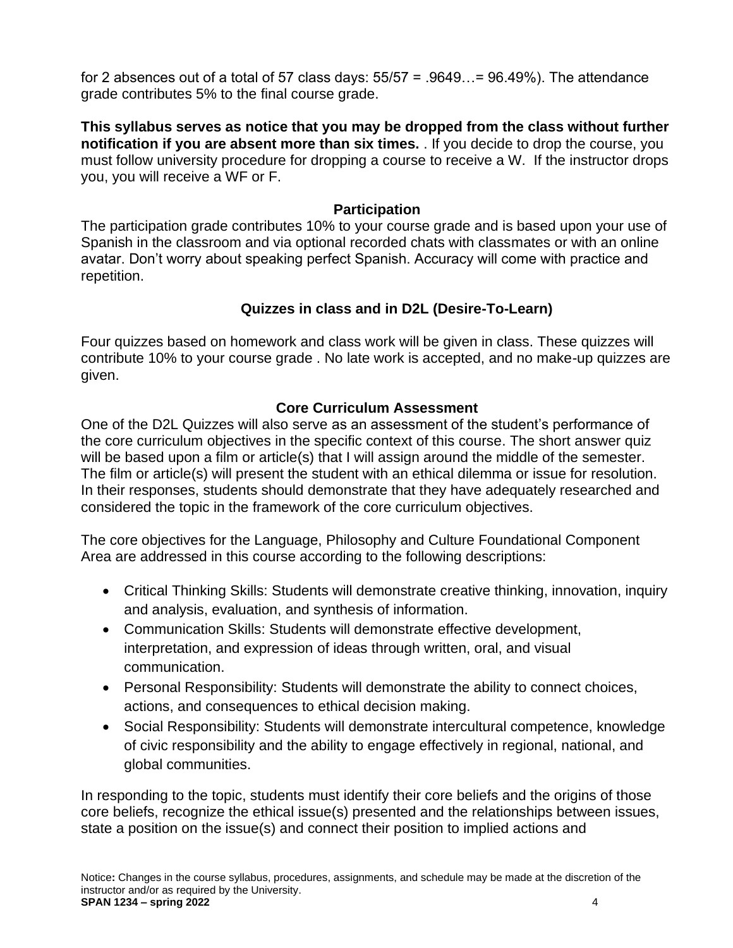for 2 absences out of a total of 57 class days:  $55/57 = .9649... = 96.49%$ ). The attendance grade contributes 5% to the final course grade.

**This syllabus serves as notice that you may be dropped from the class without further notification if you are absent more than six times.** . If you decide to drop the course, you must follow university procedure for dropping a course to receive a W. If the instructor drops you, you will receive a WF or F.

### **Participation**

The participation grade contributes 10% to your course grade and is based upon your use of Spanish in the classroom and via optional recorded chats with classmates or with an online avatar. Don't worry about speaking perfect Spanish. Accuracy will come with practice and repetition.

# **Quizzes in class and in D2L (Desire-To-Learn)**

Four quizzes based on homework and class work will be given in class. These quizzes will contribute 10% to your course grade . No late work is accepted, and no make-up quizzes are given.

## **Core Curriculum Assessment**

One of the D2L Quizzes will also serve as an assessment of the student's performance of the core curriculum objectives in the specific context of this course. The short answer quiz will be based upon a film or article(s) that I will assign around the middle of the semester. The film or article(s) will present the student with an ethical dilemma or issue for resolution. In their responses, students should demonstrate that they have adequately researched and considered the topic in the framework of the core curriculum objectives.

The core objectives for the Language, Philosophy and Culture Foundational Component Area are addressed in this course according to the following descriptions:

- Critical Thinking Skills: Students will demonstrate creative thinking, innovation, inquiry and analysis, evaluation, and synthesis of information.
- Communication Skills: Students will demonstrate effective development, interpretation, and expression of ideas through written, oral, and visual communication.
- Personal Responsibility: Students will demonstrate the ability to connect choices, actions, and consequences to ethical decision making.
- Social Responsibility: Students will demonstrate intercultural competence, knowledge of civic responsibility and the ability to engage effectively in regional, national, and global communities.

In responding to the topic, students must identify their core beliefs and the origins of those core beliefs, recognize the ethical issue(s) presented and the relationships between issues, state a position on the issue(s) and connect their position to implied actions and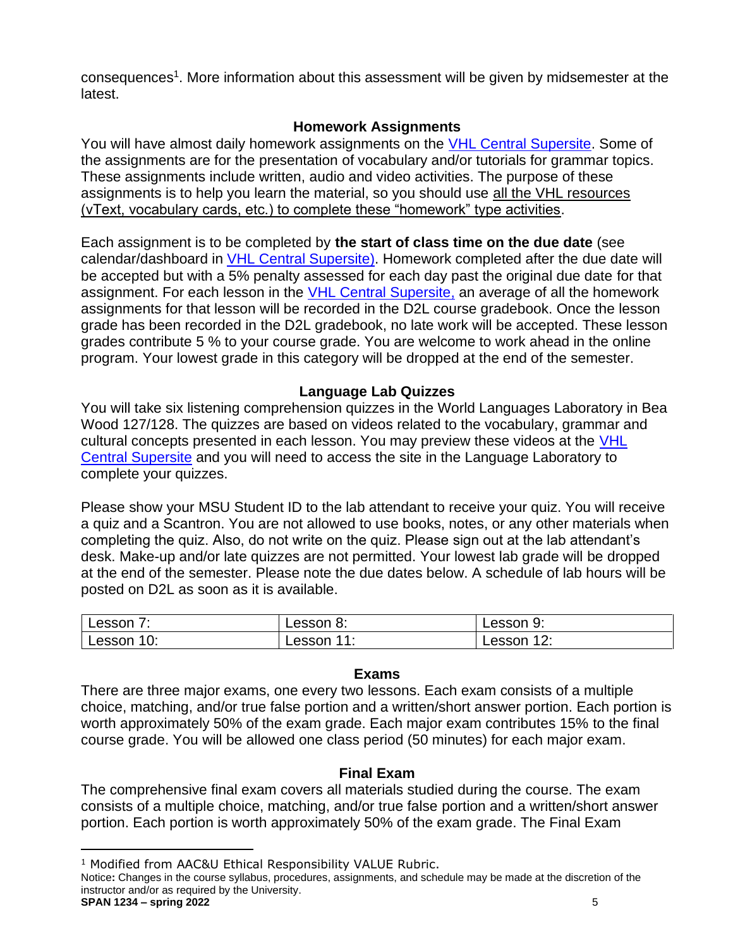consequences<sup>1</sup>. More information about this assessment will be given by midsemester at the latest.

### **Homework Assignments**

You will have almost daily homework assignments on the [VHL Central Supersite.](http://www.vhlcentral.com/) Some of the assignments are for the presentation of vocabulary and/or tutorials for grammar topics. These assignments include written, audio and video activities. The purpose of these assignments is to help you learn the material, so you should use all the VHL resources (vText, vocabulary cards, etc.) to complete these "homework" type activities.

Each assignment is to be completed by **the start of class time on the due date** (see calendar/dashboard in [VHL Central Supersite\)](http://www.vhlcentral.com/). Homework completed after the due date will be accepted but with a 5% penalty assessed for each day past the original due date for that assignment. For each lesson in the [VHL Central Supersite,](http://www.vhlcentral.com/) an average of all the homework assignments for that lesson will be recorded in the D2L course gradebook. Once the lesson grade has been recorded in the D2L gradebook, no late work will be accepted. These lesson grades contribute 5 % to your course grade. You are welcome to work ahead in the online program. Your lowest grade in this category will be dropped at the end of the semester.

### **Language Lab Quizzes**

You will take six listening comprehension quizzes in the World Languages Laboratory in Bea Wood 127/128. The quizzes are based on videos related to the vocabulary, grammar and cultural concepts presented in each lesson. You may preview these videos at the VHL [Central Supersite](http://www.vhlcentral.com/) and you will need to access the site in the Language Laboratory to complete your quizzes.

Please show your MSU Student ID to the lab attendant to receive your quiz. You will receive a quiz and a Scantron. You are not allowed to use books, notes, or any other materials when completing the quiz. Also, do not write on the quiz. Please sign out at the lab attendant's desk. Make-up and/or late quizzes are not permitted. Your lowest lab grade will be dropped at the end of the semester. Please note the due dates below. A schedule of lab hours will be posted on D2L as soon as it is available.

| ∟esson<br>. .                  | Lesson 8.     | u.<br>Lesson<br>ັບ.                                  |
|--------------------------------|---------------|------------------------------------------------------|
| Lessc<br>$\blacksquare$<br>טי. | Lesson<br>. . | ៱៱.<br>$\sim$ $\sim$ $\sim$<br>Lessc<br>$\epsilon$ . |

### **Exams**

There are three major exams, one every two lessons. Each exam consists of a multiple choice, matching, and/or true false portion and a written/short answer portion. Each portion is worth approximately 50% of the exam grade. Each major exam contributes 15% to the final course grade. You will be allowed one class period (50 minutes) for each major exam.

### **Final Exam**

The comprehensive final exam covers all materials studied during the course. The exam consists of a multiple choice, matching, and/or true false portion and a written/short answer portion. Each portion is worth approximately 50% of the exam grade. The Final Exam

<sup>&</sup>lt;sup>1</sup> Modified from AAC&U Ethical Responsibility VALUE Rubric.

Notice**:** Changes in the course syllabus, procedures, assignments, and schedule may be made at the discretion of the instructor and/or as required by the University. **SPAN 1234 – spring 2022** 5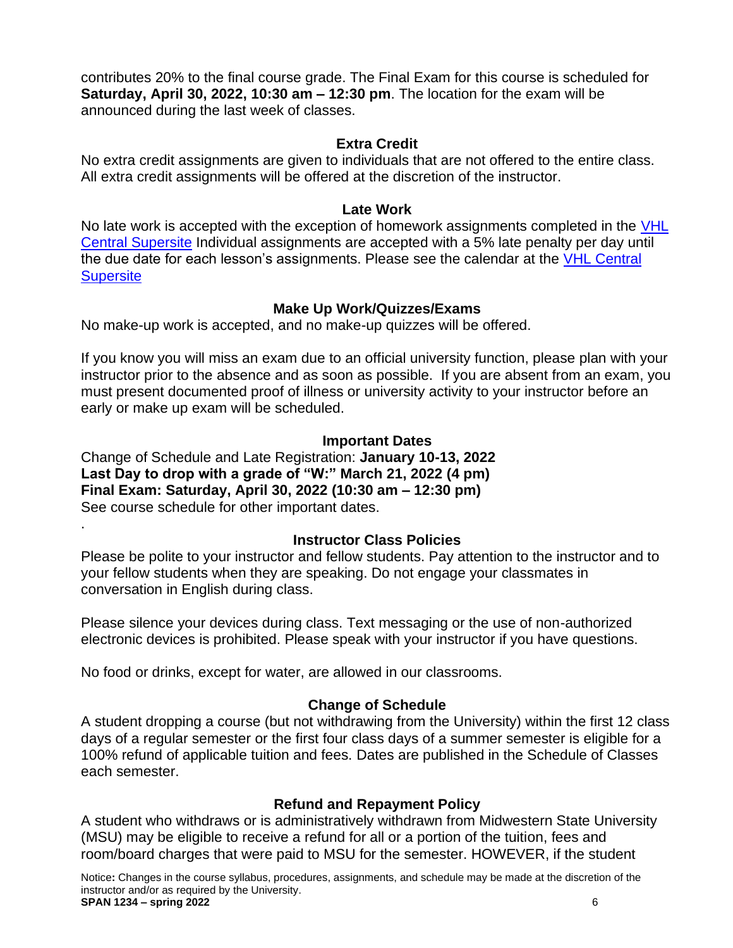contributes 20% to the final course grade. The Final Exam for this course is scheduled for **Saturday, April 30, 2022, 10:30 am – 12:30 pm**. The location for the exam will be announced during the last week of classes.

### **Extra Credit**

No extra credit assignments are given to individuals that are not offered to the entire class. All extra credit assignments will be offered at the discretion of the instructor.

### **Late Work**

No late work is accepted with the exception of homework assignments completed in the VHL [Central Supersite](http://www.vhlcentral.com/) Individual assignments are accepted with a 5% late penalty per day until the due date for each lesson's assignments. Please see the calendar at the [VHL Central](http://www.vhlcentral.com/)  **[Supersite](http://www.vhlcentral.com/)** 

# **Make Up Work/Quizzes/Exams**

No make-up work is accepted, and no make-up quizzes will be offered.

If you know you will miss an exam due to an official university function, please plan with your instructor prior to the absence and as soon as possible. If you are absent from an exam, you must present documented proof of illness or university activity to your instructor before an early or make up exam will be scheduled.

## **Important Dates**

Change of Schedule and Late Registration: **January 10-13, 2022 Last Day to drop with a grade of "W:" March 21, 2022 (4 pm) Final Exam: Saturday, April 30, 2022 (10:30 am – 12:30 pm)** See course schedule for other important dates.

.

## **Instructor Class Policies**

Please be polite to your instructor and fellow students. Pay attention to the instructor and to your fellow students when they are speaking. Do not engage your classmates in conversation in English during class.

Please silence your devices during class. Text messaging or the use of non-authorized electronic devices is prohibited. Please speak with your instructor if you have questions.

No food or drinks, except for water, are allowed in our classrooms.

# **Change of Schedule**

A student dropping a course (but not withdrawing from the University) within the first 12 class days of a regular semester or the first four class days of a summer semester is eligible for a 100% refund of applicable tuition and fees. Dates are published in the Schedule of Classes each semester.

## **Refund and Repayment Policy**

A student who withdraws or is administratively withdrawn from Midwestern State University (MSU) may be eligible to receive a refund for all or a portion of the tuition, fees and room/board charges that were paid to MSU for the semester. HOWEVER, if the student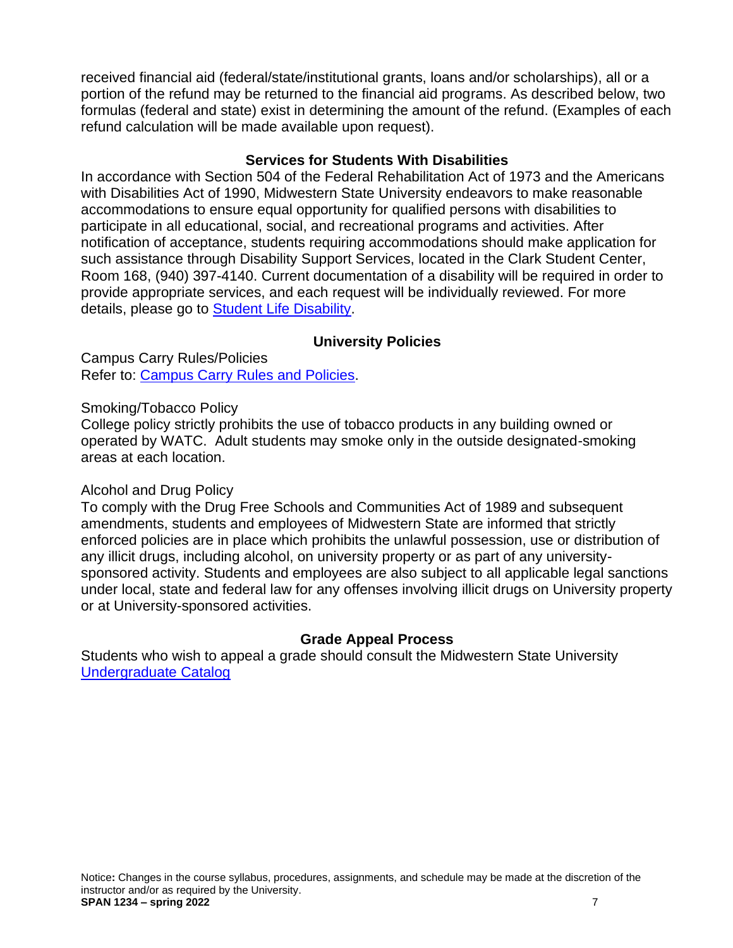received financial aid (federal/state/institutional grants, loans and/or scholarships), all or a portion of the refund may be returned to the financial aid programs. As described below, two formulas (federal and state) exist in determining the amount of the refund. (Examples of each refund calculation will be made available upon request).

### **Services for Students With Disabilities**

In accordance with Section 504 of the Federal Rehabilitation Act of 1973 and the Americans with Disabilities Act of 1990, Midwestern State University endeavors to make reasonable accommodations to ensure equal opportunity for qualified persons with disabilities to participate in all educational, social, and recreational programs and activities. After notification of acceptance, students requiring accommodations should make application for such assistance through Disability Support Services, located in the Clark Student Center, Room 168, (940) 397-4140. Current documentation of a disability will be required in order to provide appropriate services, and each request will be individually reviewed. For more details, please go to **Student Life Disability**.

## **University Policies**

Campus Carry Rules/Policies Refer to: [Campus Carry Rules and Policies.](file:///C:/Users/sarah.butler/Documents/Exploraciones/1134%20Exploraciones/Syllabi/redir.aspx%3fREF=ILderOafu1kPmGJHJCbe_h7IBv72KsA8cq1Nufx-na_dZEesBcfTCAFodHRwOi8vbXdzdS5lZHUvY2FtcHVzLWNhcnJ5L3J1bGVzLXBvbGljaWVz)

Smoking/Tobacco Policy

College policy strictly prohibits the use of tobacco products in any building owned or operated by WATC. Adult students may smoke only in the outside designated-smoking areas at each location.

## Alcohol and Drug Policy

To comply with the Drug Free Schools and Communities Act of 1989 and subsequent amendments, students and employees of Midwestern State are informed that strictly enforced policies are in place which prohibits the unlawful possession, use or distribution of any illicit drugs, including alcohol, on university property or as part of any universitysponsored activity. Students and employees are also subject to all applicable legal sanctions under local, state and federal law for any offenses involving illicit drugs on University property or at University-sponsored activities.

## **Grade Appeal Process**

Students who wish to appeal a grade should consult the Midwestern State University [Undergraduate Catalog](http://catalog.mwsu.edu/content.php?catoid=14&navoid=655#Appeal_of_Course_Grade)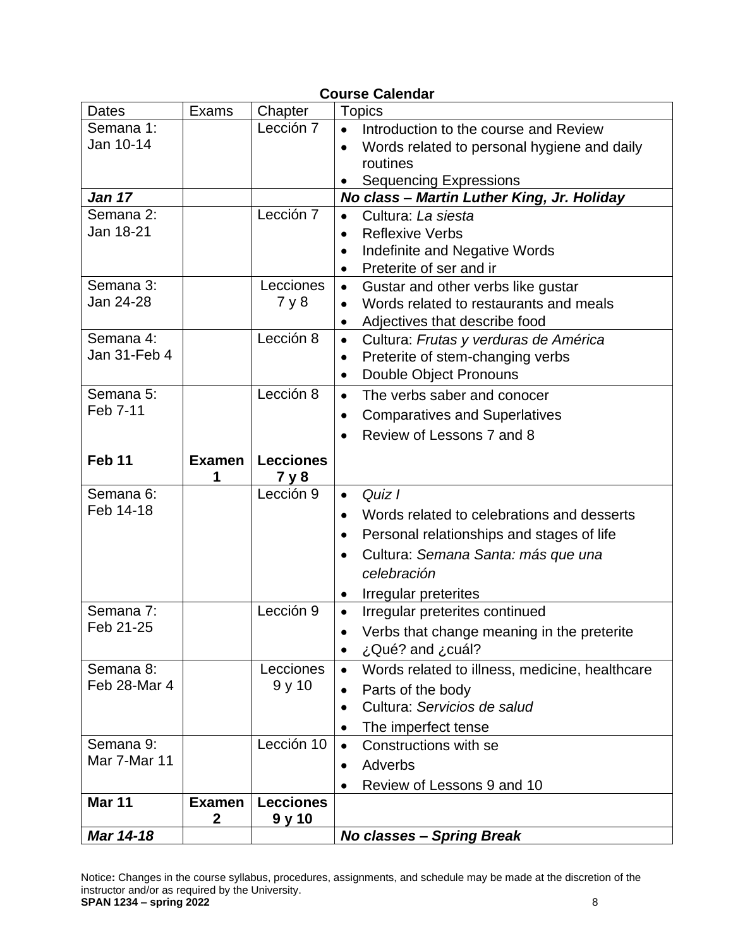| <b>Course Calendar</b> |               |                  |                                                             |
|------------------------|---------------|------------------|-------------------------------------------------------------|
| <b>Dates</b>           | Exams         | Chapter          | <b>Topics</b>                                               |
| Semana 1:              |               | Lección 7        | Introduction to the course and Review<br>$\bullet$          |
| Jan 10-14              |               |                  | Words related to personal hygiene and daily<br>$\bullet$    |
|                        |               |                  | routines                                                    |
|                        |               |                  | <b>Sequencing Expressions</b>                               |
| <b>Jan 17</b>          |               |                  | No class - Martin Luther King, Jr. Holiday                  |
| Semana 2:              |               | Lección 7        | Cultura: La siesta                                          |
| Jan 18-21              |               |                  | <b>Reflexive Verbs</b><br>$\bullet$                         |
|                        |               |                  | Indefinite and Negative Words                               |
|                        |               |                  | Preterite of ser and ir<br>$\bullet$                        |
| Semana 3:              |               | Lecciones        | Gustar and other verbs like gustar<br>$\bullet$             |
| Jan 24-28              |               | 7y8              | Words related to restaurants and meals<br>$\bullet$         |
|                        |               |                  | Adjectives that describe food<br>$\bullet$                  |
| Semana 4:              |               | Lección 8        | Cultura: Frutas y verduras de América<br>$\bullet$          |
| Jan 31-Feb 4           |               |                  | Preterite of stem-changing verbs<br>$\bullet$               |
|                        |               |                  | <b>Double Object Pronouns</b><br>$\bullet$                  |
| Semana 5:              |               | Lección 8        | The verbs saber and conocer<br>$\bullet$                    |
| Feb 7-11               |               |                  | <b>Comparatives and Superlatives</b><br>$\bullet$           |
|                        |               |                  | Review of Lessons 7 and 8                                   |
| Feb <sub>11</sub>      | <b>Examen</b> | <b>Lecciones</b> |                                                             |
|                        | 1             | 7 y 8            |                                                             |
| Semana 6:              |               | Lección 9        | Quiz I<br>$\bullet$                                         |
| Feb 14-18              |               |                  | Words related to celebrations and desserts                  |
|                        |               |                  | $\bullet$                                                   |
|                        |               |                  | Personal relationships and stages of life<br>$\bullet$      |
|                        |               |                  | Cultura: Semana Santa: más que una<br>$\bullet$             |
|                        |               |                  | celebración                                                 |
|                        |               |                  | Irregular preterites<br>$\bullet$                           |
| Semana 7:              |               | Lección 9        | Irregular preterites continued<br>$\bullet$                 |
| Feb 21-25              |               |                  | Verbs that change meaning in the preterite                  |
|                        |               |                  | ¿Qué? and ¿cuál?<br>$\bullet$                               |
| Semana 8:              |               | Lecciones        | Words related to illness, medicine, healthcare<br>$\bullet$ |
| Feb 28-Mar 4           |               | 9y10             | Parts of the body                                           |
|                        |               |                  | Cultura: Servicios de salud<br>$\bullet$                    |
|                        |               |                  | The imperfect tense                                         |
| Semana 9:              |               | Lección 10       | Constructions with se                                       |
| Mar 7-Mar 11           |               |                  | Adverbs<br>$\bullet$                                        |
|                        |               |                  | Review of Lessons 9 and 10                                  |
| <b>Mar 11</b>          | <b>Examen</b> | <b>Lecciones</b> |                                                             |
|                        | 2             | 9 y 10           |                                                             |
| Mar 14-18              |               |                  | <b>No classes - Spring Break</b>                            |